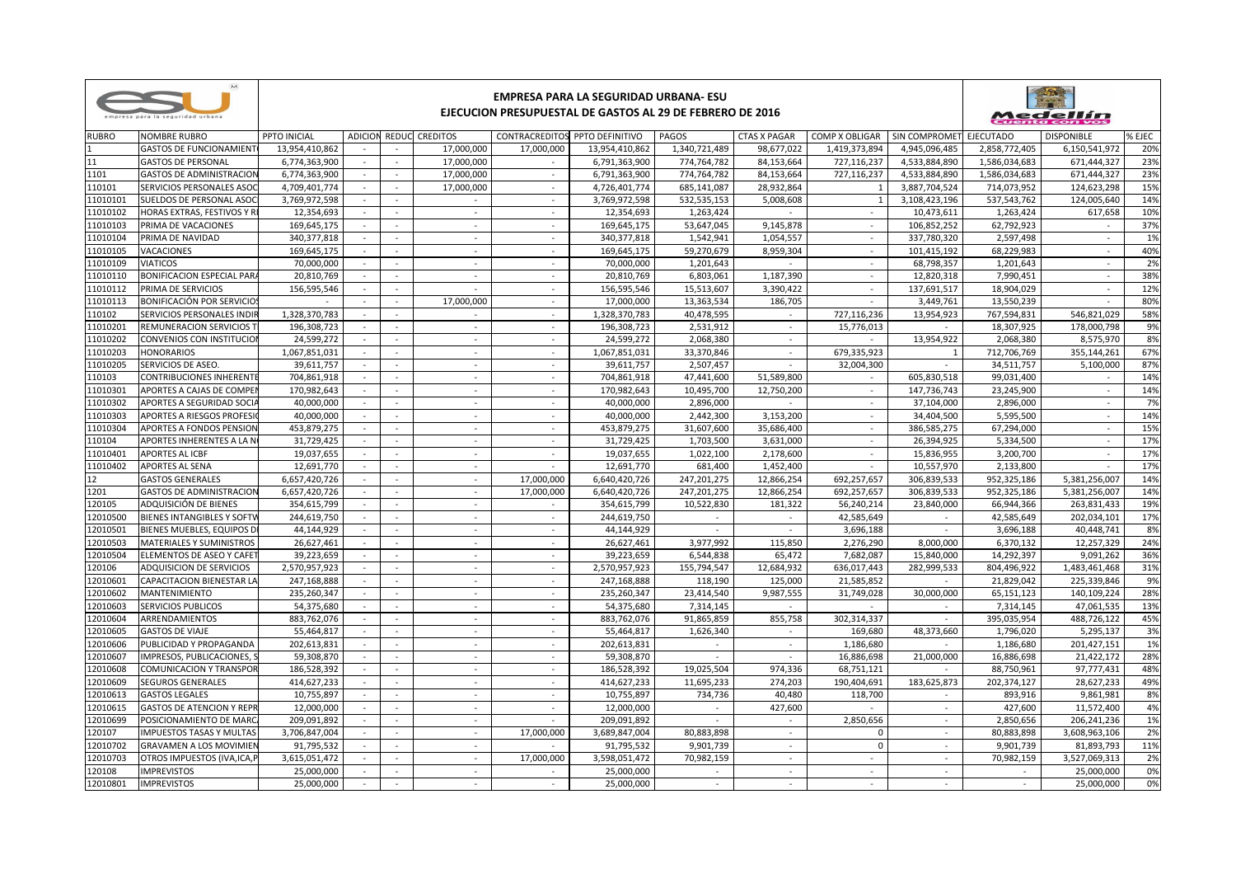| empresa para la seguridad urbana |  |  |  |
|----------------------------------|--|--|--|

## **EMPRESA PARA LA SEGURIDAD URBANA- ESU**

## **EJECUCION PRESUPUESTAL DE GASTOS AL 29 DE FEBRERO DE 2016**



| <b>RUBRO</b> | <b>NOMBRE RUBRO</b>               | PPTO INICIAL   |        |                          | ADICION REDUC CREDITOS |                          | CONTRACREDITOS PPTO DEFINITIVO | PAGOS         | <b>CTAS X PAGAR</b> | COMP X OBLIGAR   SIN COMPROMET EJECUTADO |               |               | <b>DISPONIBLE</b> | % EJEC |
|--------------|-----------------------------------|----------------|--------|--------------------------|------------------------|--------------------------|--------------------------------|---------------|---------------------|------------------------------------------|---------------|---------------|-------------------|--------|
|              | <b>GASTOS DE FUNCIONAMIENT</b>    | 13,954,410,862 |        |                          | 17,000,000             | 17,000,000               | 13,954,410,862                 | 1,340,721,489 | 98,677,022          | 1,419,373,894                            | 4,945,096,485 | 2,858,772,405 | 6,150,541,972     | 20%    |
| 11           | <b>GASTOS DE PERSONAL</b>         | 6,774,363,900  | $\sim$ | $\sim$                   | 17,000,000             |                          | 6,791,363,900                  | 774,764,782   | 84,153,664          | 727,116,237                              | 4,533,884,890 | 1,586,034,683 | 671,444,327       | 23%    |
| 1101         | <b>GASTOS DE ADMINISTRACION</b>   | 6,774,363,900  | $\sim$ | $\sim$                   | 17,000,000             | $\sim$                   | 6,791,363,900                  | 774,764,782   | 84,153,664          | 727,116,237                              | 4,533,884,890 | 1,586,034,683 | 671,444,327       | 23%    |
| 110101       | SERVICIOS PERSONALES ASO          | 4,709,401,774  | $\sim$ | $\sim$                   | 17,000,000             | $\sim$                   | 4,726,401,774                  | 685,141,087   | 28,932,864          | 1                                        | 3,887,704,524 | 714,073,952   | 124,623,298       | 15%    |
| 11010101     | SUELDOS DE PERSONAL ASO           | 3,769,972,598  |        | $\sim$                   | $\sim$                 | $\sim$                   | 3,769,972,598                  | 532,535,153   | 5,008,608           | $\mathbf{1}$                             | 3,108,423,196 | 537,543,762   | 124,005,640       | 14%    |
| 11010102     | HORAS EXTRAS, FESTIVOS Y R        | 12,354,693     |        | $\sim$                   | $\sim$                 | $\sim$                   | 12,354,693                     | 1,263,424     | $\sim$              | $\overline{\phantom{a}}$                 | 10,473,611    | 1,263,424     | 617,658           | 10%    |
| 11010103     | PRIMA DE VACACIONES               | 169,645,175    | $\sim$ | $\sim$                   | $\sim$                 | $\sim$                   | 169,645,175                    | 53,647,045    | 9,145,878           | $\sim$                                   | 106,852,252   | 62,792,923    | $\sim$            | 37%    |
| 11010104     | PRIMA DE NAVIDAD                  | 340.377.818    |        |                          |                        |                          | 340, 377, 818                  | 1.542.941     | 1.054.557           |                                          | 337,780,320   | 2.597.498     |                   | 1%     |
| 11010105     | VACACIONES                        | 169,645,175    |        | $\sim$                   | $\sim$                 | $\sim$                   | 169,645,175                    | 59,270,679    | 8,959,304           | $\mathcal{L}$                            | 101,415,192   | 68,229,983    | $\sim$            | 40%    |
| 11010109     | <b>VIATICOS</b>                   | 70,000,000     | $\sim$ | $\sim$                   | $\sim$                 | $\sim$                   | 70,000,000                     | 1,201,643     |                     | $\sim$                                   | 68,798,357    | 1,201,643     | $\sim$            | 2%     |
| 11010110     | BONIFICACION ESPECIAL PAR         | 20,810,769     | $\sim$ |                          | $\sim$                 | $\sim$                   | 20,810,769                     | 6,803,061     | 1,187,390           | $\sim$                                   | 12,820,318    | 7,990,451     |                   | 38%    |
| 11010112     | PRIMA DE SERVICIOS                | 156,595,546    | $\sim$ | $\sim$                   | $\equiv$               | $\sim$                   | 156,595,546                    | 15,513,607    | 3,390,422           | $\mathcal{L}$                            | 137,691,517   | 18,904,029    | $\sim$            | 12%    |
| 11010113     | BONIFICACIÓN POR SERVICIO         |                | $\sim$ | $\sim$                   | 17,000,000             | $\sim$                   | 17,000,000                     | 13,363,534    | 186,705             | $\sim$                                   | 3,449,761     | 13,550,239    |                   | 80%    |
| 110102       | SERVICIOS PERSONALES INDI         | 1,328,370,783  | $\sim$ | $\sim$                   | $\sim$                 | $\sim$                   | 1,328,370,783                  | 40,478,595    | $\sim$              | 727,116,236                              | 13,954,923    | 767,594,831   | 546.821.029       | 58%    |
| 11010201     | REMUNERACION SERVICIOS            | 196.308.723    |        |                          | $\omega$               |                          | 196,308,723                    | 2,531,912     |                     | 15,776,013                               |               | 18,307,925    | 178.000.798       | 9%     |
| 11010202     | CONVENIOS CON INSTITUCIO          | 24.599.272     |        |                          | $\sim$                 |                          | 24.599.272                     | 2.068.380     |                     |                                          | 13,954,922    | 2.068.380     | 8.575.970         | 8%     |
| 11010203     | <b>HONORARIOS</b>                 | 1,067,851,031  |        | $\sim$                   | $\sim$                 | $\sim$                   | 1,067,851,031                  | 33,370,846    | $\sim$              | 679,335,923                              | $\mathbf{1}$  | 712,706,769   | 355,144,261       | 67%    |
| 11010205     | SERVICIOS DE ASEO.                | 39,611,757     |        | $\sim$                   | $\blacksquare$         | $\sim$                   | 39,611,757                     | 2,507,457     | $\sim$              | 32,004,300                               |               | 34,511,757    | 5,100,000         | 87%    |
| 110103       | <b>CONTRIBUCIONES INHERENT</b>    | 704,861,918    | $\sim$ | $\sim$                   | $\sim$                 | $\sim$                   | 704,861,918                    | 47,441,600    | 51,589,800          | $\sim$                                   | 605,830,518   | 99,031,400    | $\sim$            | 14%    |
| 11010301     | APORTES A CAJAS DE COMPE          | 170,982,643    |        |                          | $\sim$                 | $\overline{\phantom{a}}$ | 170,982,643                    | 10,495,700    | 12,750,200          | $\overline{\phantom{a}}$                 | 147,736,743   | 23,245,900    | $\sim$            | 14%    |
| 11010302     | APORTES A SEGURIDAD SOCI.         | 40,000,000     | $\sim$ | $\sim$                   | $\sim$                 | $\sim$                   | 40,000,000                     | 2,896,000     | $\sim$              | $\sim$                                   | 37,104,000    | 2,896,000     | $\sim$            | 7%     |
| 11010303     | <b>APORTES A RIESGOS PROFESI</b>  | 40,000,000     |        | $\sim$                   | $\sim$                 | $\sim$                   | 40,000,000                     | 2,442,300     | 3,153,200           | $\sim$                                   | 34,404,500    | 5,595,500     |                   | 14%    |
| 11010304     | <b>APORTES A FONDOS PENSIOI</b>   | 453.879.275    |        |                          | $\sim$                 | $\sim$                   | 453.879.275                    | 31.607.600    | 35,686,400          | $\mathcal{L}$                            | 386.585.275   | 67.294.000    |                   | 15%    |
| 110104       | APORTES INHERENTES A LA N         | 31.729.425     |        | $\sim$                   | $\sim$                 |                          | 31,729,425                     | 1.703.500     | 3,631,000           | $\sim$                                   | 26.394.925    | 5.334.500     |                   | 17%    |
| 11010401     | <b>APORTES AL ICBF</b>            | 19,037,655     |        | $\sim$                   | $\sim$                 |                          | 19,037,655                     | 1,022,100     | 2,178,600           | $\sim$                                   | 15,836,955    | 3,200,700     | $\sim$            | 17%    |
| 11010402     | APORTES AL SENA                   | 12,691,770     | $\sim$ | $\sim$                   | $\sim$                 |                          | 12,691,770                     | 681,400       | 1,452,400           | $\sim$                                   | 10,557,970    | 2,133,800     |                   | 17%    |
| 12           | <b>GASTOS GENERALES</b>           | 6,657,420,726  |        | $\overline{\phantom{a}}$ | $\sim$                 | 17,000,000               | 6,640,420,726                  | 247,201,275   | 12,866,254          | 692,257,657                              | 306,839,533   | 952,325,186   | 5,381,256,007     | 14%    |
| 1201         | <b>GASTOS DE ADMINISTRACION</b>   | 6,657,420,726  | $\sim$ | $\sim$                   | $\sim$                 | 17,000,000               | 6,640,420,726                  | 247,201,275   | 12,866,254          | 692,257,657                              | 306,839,533   | 952,325,186   | 5,381,256,007     | 14%    |
| 120105       | ADQUISICIÓN DE BIENES             | 354,615,799    |        | $\sim$                   | $\sim$                 | $\sim$                   | 354,615,799                    | 10,522,830    | 181,322             | 56,240,214                               | 23,840,000    | 66,944,366    | 263,831,433       | 19%    |
| 12010500     | <b>BIENES INTANGIBLES Y SOFTV</b> | 244,619,750    |        |                          | $\sim$                 | $\sim$                   | 244,619,750                    |               |                     | 42,585,649                               |               | 42,585,649    | 202,034,101       | 17%    |
| 12010501     | BIENES MUEBLES, EQUIPOS D         | 44,144,929     |        | $\sim$                   | $\sim$                 |                          | 44,144,929                     |               |                     | 3,696,188                                |               | 3,696,188     | 40,448,741        | 8%     |
| 12010503     | <b>MATERIALES Y SUMINISTROS</b>   | 26,627,461     |        |                          | $\sim$                 |                          | 26,627,461                     | 3,977,992     | 115,850             | 2,276,290                                | 8,000,000     | 6,370,132     | 12,257,329        | 24%    |
| 12010504     | ELEMENTOS DE ASEO Y CAFE          | 39.223.659     | nia.   | $\sim$                   | $\sim$                 | $\sim$                   | 39,223,659                     | 6.544.838     | 65,472              | 7.682.087                                | 15,840,000    | 14,292,397    | 9.091.262         | 36%    |
| 120106       | ADQUISICION DE SERVICIOS          | 2,570,957,923  |        | $\sim$                   | $\sim$                 | $\sim$                   | 2,570,957,923                  | 155,794,547   | 12,684,932          | 636,017,443                              | 282,999,533   | 804,496,922   | 1,483,461,468     | 31%    |
| 12010601     | CAPACITACION BIENESTAR LA         | 247,168,888    |        | $\sim$                   | $\sim$                 | $\sim$                   | 247,168,888                    | 118,190       | 125,000             | 21,585,852                               | $\sim$        | 21,829,042    | 225,339,846       | 9%     |
| 12010602     | <b>MANTENIMIENTO</b>              | 235,260,347    |        | $\sim$                   | $\sim$                 | $\sim$                   | 235,260,347                    | 23,414,540    | 9,987,555           | 31,749,028                               | 30,000,000    | 65,151,123    | 140,109,224       | 28%    |
| 12010603     | <b>SERVICIOS PUBLICOS</b>         | 54,375,680     |        |                          | $\sim$                 | $\sim$                   | 54,375,680                     | 7,314,145     |                     |                                          |               | 7,314,145     | 47,061,535        | 13%    |
| 12010604     | ARRENDAMIENTOS                    | 883,762,076    |        |                          |                        |                          | 883,762,076                    | 91,865,859    | 855,758             | 302,314,337                              |               | 395,035,954   | 488,726,122       | 45%    |
| 12010605     | <b>GASTOS DE VIAJE</b>            | 55,464,817     |        |                          | $\blacksquare$         |                          | 55,464,817                     | 1,626,340     |                     | 169,680                                  | 48,373,660    | 1,796,020     | 5,295,137         | 3%     |
| 12010606     | PUBLICIDAD Y PROPAGANDA           | 202,613,831    |        | $\sim$                   | $\sim$                 | $\sim$                   | 202,613,831                    | $\sim$        | $\sim$              | 1,186,680                                |               | 1,186,680     | 201,427,151       | 1%     |
| 12010607     | IMPRESOS, PUBLICACIONES,          | 59,308,870     |        | $\sim$                   | $\sim$                 | $\sim$                   | 59,308,870                     |               | $\sim$              | 16,886,698                               | 21.000.000    | 16,886,698    | 21,422,172        | 28%    |
| 12010608     | <b>COMUNICACION Y TRANSPOI</b>    | 186,528,392    |        | $\sim$                   | $\sim$                 | $\sim$                   | 186,528,392                    | 19,025,504    | 974.336             | 68,751,121                               |               | 88,750,961    | 97,777,431        | 48%    |
| 12010609     | SEGUROS GENERALES                 | 414,627,233    |        | $\sim$                   | $\sim$                 | $\sim$                   | 414,627,233                    | 11,695,233    | 274,203             | 190,404,691                              | 183,625,873   | 202,374,127   | 28,627,233        | 49%    |
| 12010613     | <b>GASTOS LEGALES</b>             | 10,755,897     |        | $\sim$                   | $\sim$                 | $\sim$                   | 10,755,897                     | 734,736       | 40,480              | 118,700                                  | $\sim$        | 893,916       | 9,861,981         | 8%     |
| 12010615     | <b>GASTOS DE ATENCION Y REPR</b>  | 12,000,000     |        |                          | $\omega$               |                          | 12,000,000                     |               | 427,600             |                                          |               | 427,600       | 11,572,400        | 4%     |
| 12010699     | POSICIONAMIENTO DE MARO           | 209,091,892    |        |                          | $\sim$                 |                          | 209,091,892                    |               |                     | 2,850,656                                |               | 2,850,656     | 206,241,236       | 1%     |
| 120107       | IMPUESTOS TASAS Y MULTAS          | 3,706,847,004  |        | $\sim$                   | $\sim$                 | 17,000,000               | 3,689,847,004                  | 80,883,898    | $\sim$              | $\mathbf 0$                              |               | 80,883,898    | 3,608,963,106     | 2%     |
| 12010702     | <b>GRAVAMEN A LOS MOVIMIE</b>     | 91,795,532     | $\sim$ | $\sim$                   | $\sim$                 |                          | 91,795,532                     | 9,901,739     | $\sim$              | $\mathbf{0}$                             | $\sim$        | 9,901,739     | 81,893,793        | 11%    |
| 12010703     | OTROS IMPUESTOS (IVA, ICA, I      | 3,615,051,472  |        | $\sim$                   | $\sim$                 | 17,000,000               | 3,598,051,472                  | 70,982,159    | $\sim$              | $\mathcal{L}$                            | $\sim$        | 70,982,159    | 3,527,069,313     | 2%     |
| 120108       | <b>IMPREVISTOS</b>                | 25,000,000     |        | $\sim$                   | $\sim$                 | $\sim$                   | 25,000,000                     | $\sim$        | $\sim$              |                                          | $\sim$        | $\sim$        | 25,000,000        | 0%     |
| 12010801     | <b>IMPREVISTOS</b>                | 25,000,000     |        |                          | $\sim$                 | $\sim$                   | 25,000,000                     | $\sim$        |                     | $\sim$                                   | $\sim$        | $\sim$        | 25,000,000        | 0%     |
|              |                                   |                |        |                          |                        |                          |                                |               |                     |                                          |               |               |                   |        |